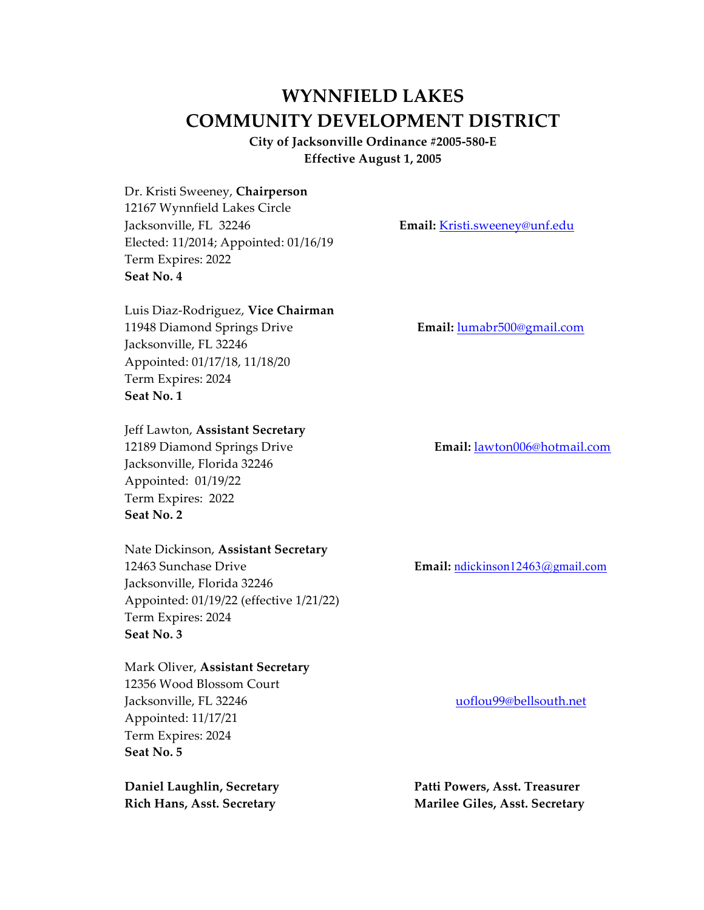# **WYNNFIELD LAKES COMMUNITY DEVELOPMENT DISTRICT**

**City of Jacksonville Ordinance #2005-580-E Effective August 1, 2005**

Dr. Kristi Sweeney, **Chairperson** 12167 Wynnfield Lakes Circle Jacksonville, FL 32246 **Email:** Kristi.sweeney@unf.edu Elected: 11/2014; Appointed: 01/16/19 Term Expires: 2022 **Seat No. 4**

Luis Diaz-Rodriguez, **Vice Chairman** 11948 Diamond Springs Drive **Email:** lumabr500@gmail.com Jacksonville, FL 32246 Appointed: 01/17/18, 11/18/20 Term Expires: 2024 **Seat No. 1**

Jeff Lawton, **Assistant Secretary** 12189 Diamond Springs Drive **Email:** lawton006@hotmail.com Jacksonville, Florida 32246 Appointed: 01/19/22 Term Expires: 2022 **Seat No. 2**

Nate Dickinson, **Assistant Secretary** 12463 Sunchase Drive **Email:** ndickinson12463@gmail.com Jacksonville, Florida 32246 Appointed: 01/19/22 (effective 1/21/22) Term Expires: 2024 **Seat No. 3**

Mark Oliver, **Assistant Secretary** 12356 Wood Blossom Court Jacksonville, FL 32246 uoflou99@bellsouth.net Appointed: 11/17/21 Term Expires: 2024 **Seat No. 5**

**Daniel Laughlin, Secretary Patti Powers, Asst. Treasurer Rich Hans, Asst. Secretary Marilee Giles, Asst. Secretary**